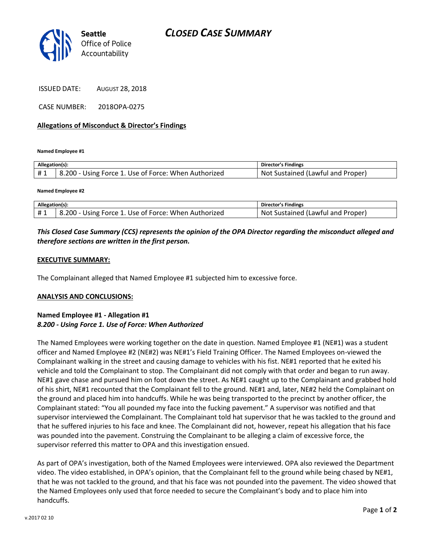

ISSUED DATE: AUGUST 28, 2018

CASE NUMBER: 2018OPA-0275

#### **Allegations of Misconduct & Director's Findings**

**Named Employee #1**

| Allegation(s): |                                                      | Director's Findings                      |
|----------------|------------------------------------------------------|------------------------------------------|
| #1             | B.200 - Using Force 1. Use of Force: When Authorized | . Not<br>. Sustained (Lawful and Proper) |

**Named Employee #2**

| Allegation(s): |                                                      | Director's Findings               |
|----------------|------------------------------------------------------|-----------------------------------|
|                | B.200 - Using Force 1. Use of Force: When Authorized | Not Sustained (Lawful and Proper) |

## *This Closed Case Summary (CCS) represents the opinion of the OPA Director regarding the misconduct alleged and therefore sections are written in the first person.*

#### **EXECUTIVE SUMMARY:**

The Complainant alleged that Named Employee #1 subjected him to excessive force.

#### **ANALYSIS AND CONCLUSIONS:**

### **Named Employee #1 - Allegation #1** *8.200 - Using Force 1. Use of Force: When Authorized*

The Named Employees were working together on the date in question. Named Employee #1 (NE#1) was a student officer and Named Employee #2 (NE#2) was NE#1's Field Training Officer. The Named Employees on-viewed the Complainant walking in the street and causing damage to vehicles with his fist. NE#1 reported that he exited his vehicle and told the Complainant to stop. The Complainant did not comply with that order and began to run away. NE#1 gave chase and pursued him on foot down the street. As NE#1 caught up to the Complainant and grabbed hold of his shirt, NE#1 recounted that the Complainant fell to the ground. NE#1 and, later, NE#2 held the Complainant on the ground and placed him into handcuffs. While he was being transported to the precinct by another officer, the Complainant stated: "You all pounded my face into the fucking pavement." A supervisor was notified and that supervisor interviewed the Complainant. The Complainant told hat supervisor that he was tackled to the ground and that he suffered injuries to his face and knee. The Complainant did not, however, repeat his allegation that his face was pounded into the pavement. Construing the Complainant to be alleging a claim of excessive force, the supervisor referred this matter to OPA and this investigation ensued.

As part of OPA's investigation, both of the Named Employees were interviewed. OPA also reviewed the Department video. The video established, in OPA's opinion, that the Complainant fell to the ground while being chased by NE#1, that he was not tackled to the ground, and that his face was not pounded into the pavement. The video showed that the Named Employees only used that force needed to secure the Complainant's body and to place him into handcuffs.